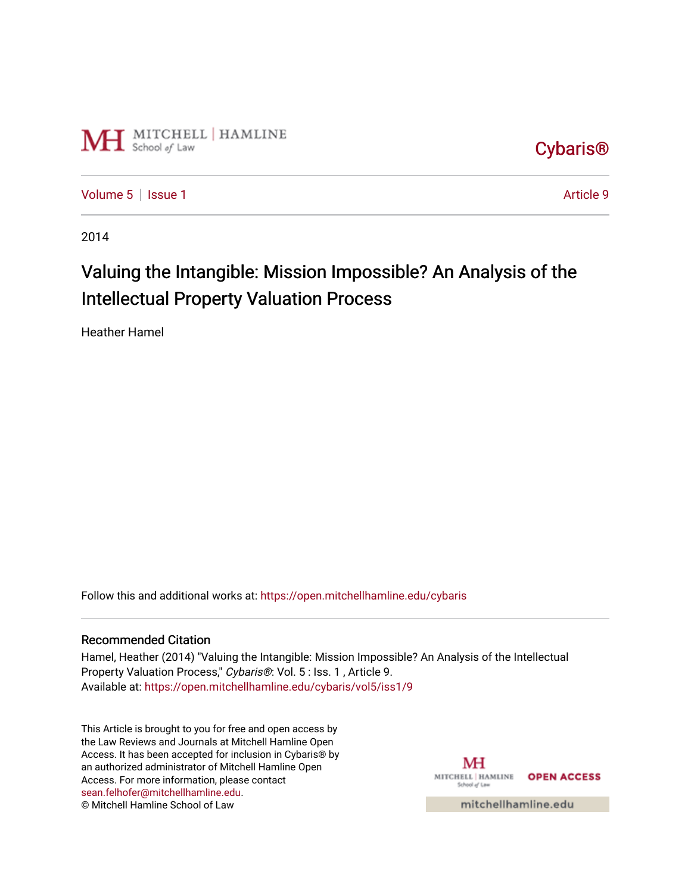

[Cybaris®](https://open.mitchellhamline.edu/cybaris) 

[Volume 5](https://open.mitchellhamline.edu/cybaris/vol5) | [Issue 1](https://open.mitchellhamline.edu/cybaris/vol5/iss1) Article 9

2014

# Valuing the Intangible: Mission Impossible? An Analysis of the Intellectual Property Valuation Process

Heather Hamel

Follow this and additional works at: [https://open.mitchellhamline.edu/cybaris](https://open.mitchellhamline.edu/cybaris?utm_source=open.mitchellhamline.edu%2Fcybaris%2Fvol5%2Fiss1%2F9&utm_medium=PDF&utm_campaign=PDFCoverPages) 

#### Recommended Citation

Hamel, Heather (2014) "Valuing the Intangible: Mission Impossible? An Analysis of the Intellectual Property Valuation Process," Cybaris®: Vol. 5 : Iss. 1 , Article 9. Available at: [https://open.mitchellhamline.edu/cybaris/vol5/iss1/9](https://open.mitchellhamline.edu/cybaris/vol5/iss1/9?utm_source=open.mitchellhamline.edu%2Fcybaris%2Fvol5%2Fiss1%2F9&utm_medium=PDF&utm_campaign=PDFCoverPages)

This Article is brought to you for free and open access by the Law Reviews and Journals at Mitchell Hamline Open Access. It has been accepted for inclusion in Cybaris® by an authorized administrator of Mitchell Hamline Open Access. For more information, please contact [sean.felhofer@mitchellhamline.edu](mailto:sean.felhofer@mitchellhamline.edu). © Mitchell Hamline School of Law

MH MITCHELL | HAMLINE **OPEN ACCESS** School of Law

mitchellhamline.edu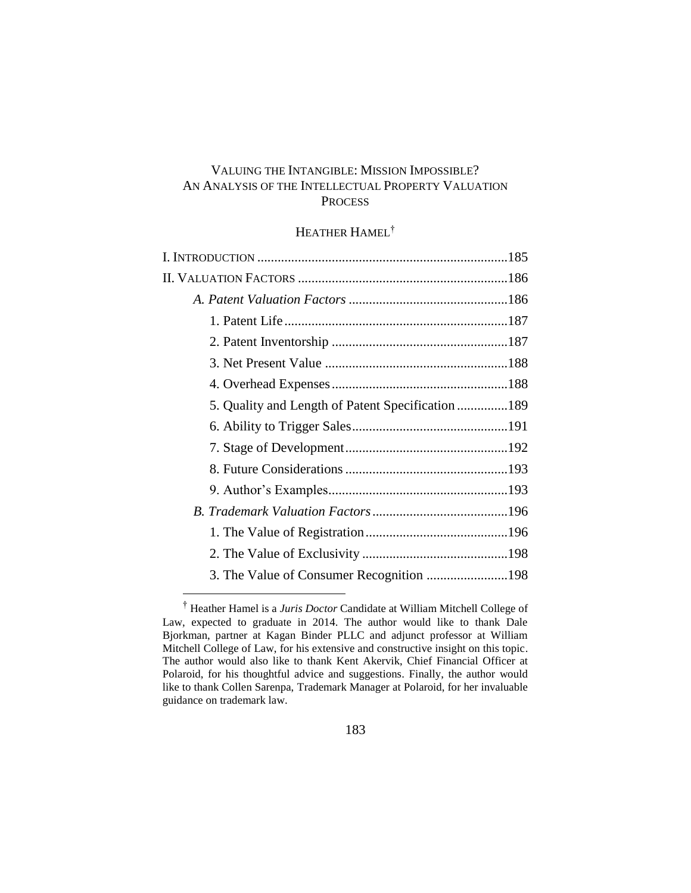## VALUING THE INTANGIBLE: MISSION IMPOSSIBLE? AN ANALYSIS OF THE INTELLECTUAL PROPERTY VALUATION **PROCESS**

# HEATHER HAMEL<sup>†</sup>

<sup>†</sup> Heather Hamel is a *Juris Doctor* Candidate at William Mitchell College of Law, expected to graduate in 2014. The author would like to thank Dale Bjorkman, partner at Kagan Binder PLLC and adjunct professor at William Mitchell College of Law, for his extensive and constructive insight on this topic. The author would also like to thank Kent Akervik, Chief Financial Officer at Polaroid, for his thoughtful advice and suggestions. Finally, the author would like to thank Collen Sarenpa, Trademark Manager at Polaroid, for her invaluable guidance on trademark law.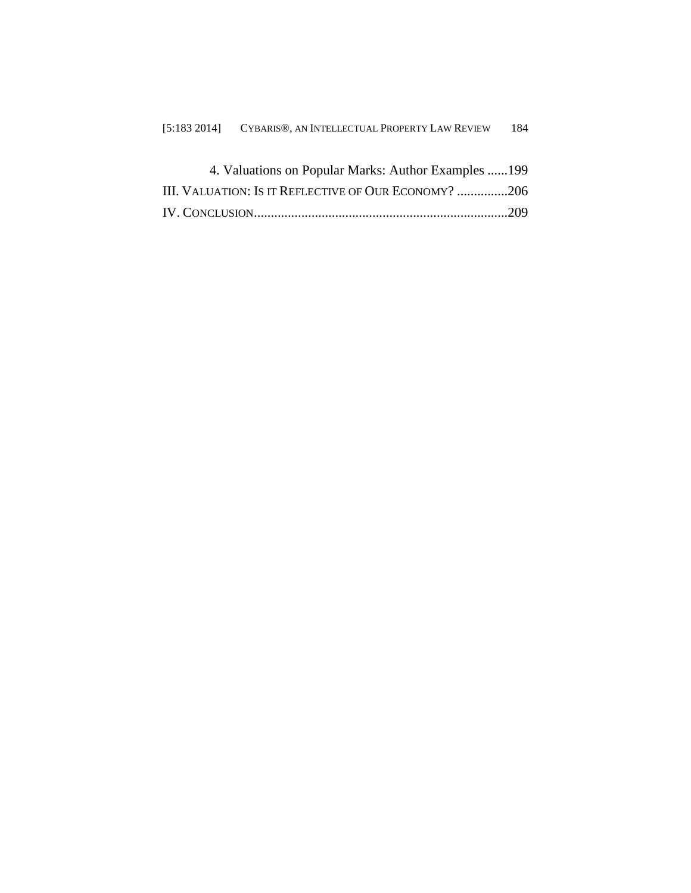| 4. Valuations on Popular Marks: Author Examples 199  |  |
|------------------------------------------------------|--|
| III. VALUATION: Is it REFLECTIVE OF OUR ECONOMY? 206 |  |
|                                                      |  |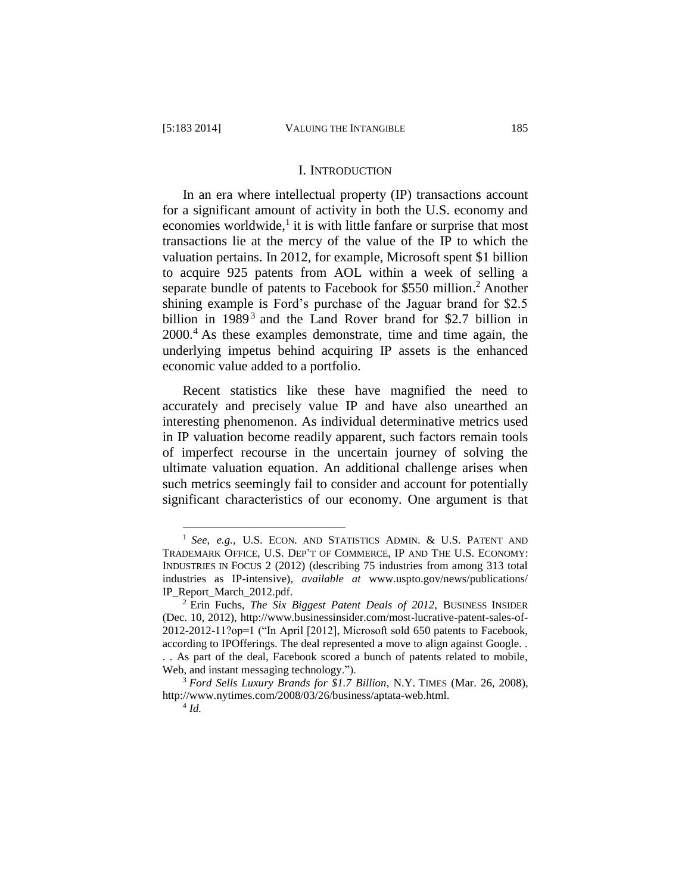#### I. INTRODUCTION

In an era where intellectual property (IP) transactions account for a significant amount of activity in both the U.S. economy and economies worldwide,<sup>1</sup> it is with little fanfare or surprise that most transactions lie at the mercy of the value of the IP to which the valuation pertains. In 2012, for example, Microsoft spent \$1 billion to acquire 925 patents from AOL within a week of selling a separate bundle of patents to Facebook for \$550 million.<sup>2</sup> Another shining example is Ford's purchase of the Jaguar brand for \$2.5 billion in  $1989<sup>3</sup>$  and the Land Rover brand for \$2.7 billion in 2000.<sup>4</sup> As these examples demonstrate, time and time again, the underlying impetus behind acquiring IP assets is the enhanced economic value added to a portfolio.

Recent statistics like these have magnified the need to accurately and precisely value IP and have also unearthed an interesting phenomenon. As individual determinative metrics used in IP valuation become readily apparent, such factors remain tools of imperfect recourse in the uncertain journey of solving the ultimate valuation equation. An additional challenge arises when such metrics seemingly fail to consider and account for potentially significant characteristics of our economy. One argument is that

<sup>1</sup> *See, e.g.*, U.S. ECON. AND STATISTICS ADMIN. & U.S. PATENT AND TRADEMARK OFFICE, U.S. DEP'T OF COMMERCE, IP AND THE U.S. ECONOMY: INDUSTRIES IN FOCUS 2 (2012) (describing 75 industries from among 313 total industries as IP-intensive), *available at* www.uspto.gov/news/publications/ IP\_Report\_March\_2012.pdf.

<sup>2</sup> Erin Fuchs, *The Six Biggest Patent Deals of 2012,* BUSINESS INSIDER (Dec. 10, 2012), http://www.businessinsider.com/most-lucrative-patent-sales-of-2012-2012-11?op=1 ("In April [2012], Microsoft sold 650 patents to Facebook, according to IPOfferings. The deal represented a move to align against Google. .

<sup>. .</sup> As part of the deal, Facebook scored a bunch of patents related to mobile, Web, and instant messaging technology.").

<sup>3</sup> *Ford Sells Luxury Brands for \$1.7 Billion*, N.Y. TIMES (Mar. 26, 2008), http://www.nytimes.com/2008/03/26/business/aptata-web.html.

<sup>4</sup> *Id.*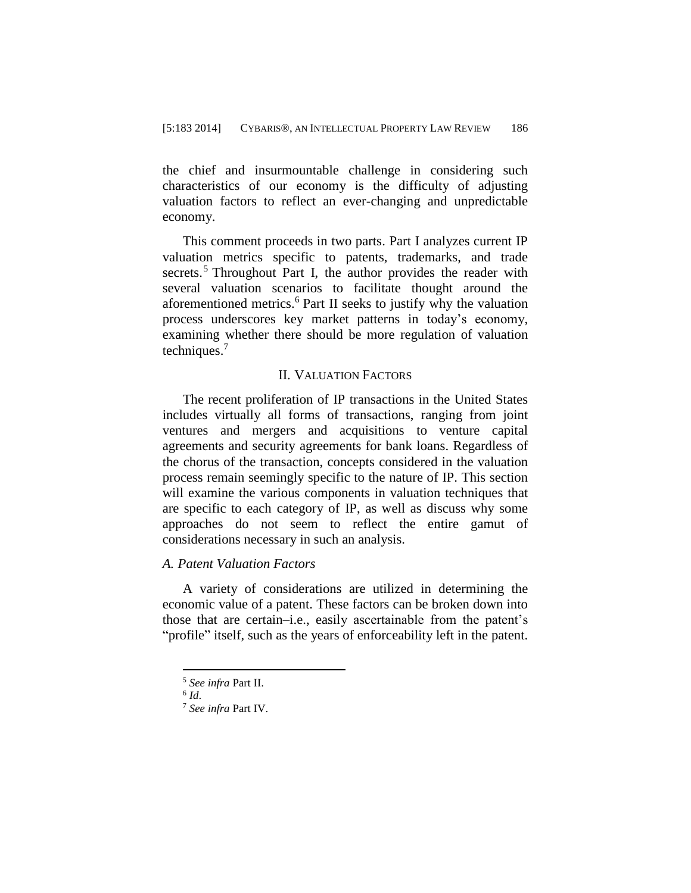the chief and insurmountable challenge in considering such characteristics of our economy is the difficulty of adjusting valuation factors to reflect an ever-changing and unpredictable economy.

This comment proceeds in two parts. Part I analyzes current IP valuation metrics specific to patents, trademarks, and trade secrets.<sup>5</sup> Throughout Part I, the author provides the reader with several valuation scenarios to facilitate thought around the aforementioned metrics.<sup>6</sup> Part II seeks to justify why the valuation process underscores key market patterns in today's economy, examining whether there should be more regulation of valuation techniques. 7

#### II. VALUATION FACTORS

The recent proliferation of IP transactions in the United States includes virtually all forms of transactions, ranging from joint ventures and mergers and acquisitions to venture capital agreements and security agreements for bank loans. Regardless of the chorus of the transaction, concepts considered in the valuation process remain seemingly specific to the nature of IP. This section will examine the various components in valuation techniques that are specific to each category of IP, as well as discuss why some approaches do not seem to reflect the entire gamut of considerations necessary in such an analysis.

## *A. Patent Valuation Factors*

A variety of considerations are utilized in determining the economic value of a patent. These factors can be broken down into those that are certain–i.e., easily ascertainable from the patent's "profile" itself, such as the years of enforceability left in the patent.

<sup>5</sup> *See infra* Part II.

<sup>6</sup> *Id*.

<sup>7</sup> *See infra* Part IV.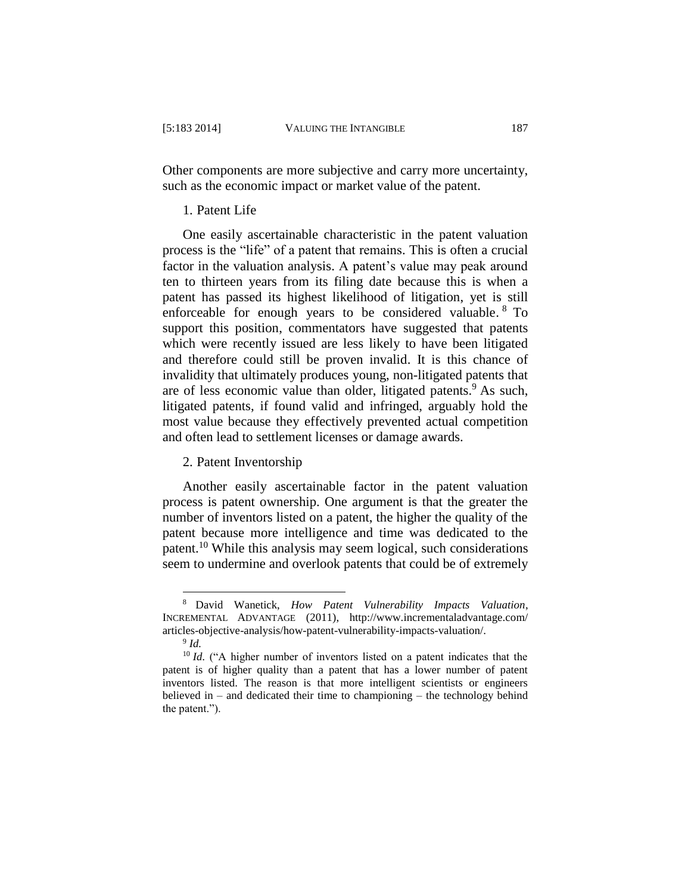Other components are more subjective and carry more uncertainty, such as the economic impact or market value of the patent.

## 1. Patent Life

One easily ascertainable characteristic in the patent valuation process is the "life" of a patent that remains. This is often a crucial factor in the valuation analysis. A patent's value may peak around ten to thirteen years from its filing date because this is when a patent has passed its highest likelihood of litigation, yet is still enforceable for enough years to be considered valuable. <sup>8</sup> To support this position, commentators have suggested that patents which were recently issued are less likely to have been litigated and therefore could still be proven invalid. It is this chance of invalidity that ultimately produces young, non-litigated patents that are of less economic value than older, litigated patents.<sup>9</sup> As such, litigated patents, if found valid and infringed, arguably hold the most value because they effectively prevented actual competition and often lead to settlement licenses or damage awards.

#### 2. Patent Inventorship

Another easily ascertainable factor in the patent valuation process is patent ownership. One argument is that the greater the number of inventors listed on a patent, the higher the quality of the patent because more intelligence and time was dedicated to the patent.<sup>10</sup> While this analysis may seem logical, such considerations seem to undermine and overlook patents that could be of extremely

<sup>8</sup> David Wanetick, *How Patent Vulnerability Impacts Valuation*, INCREMENTAL ADVANTAGE (2011), http://www.incrementaladvantage.com/ articles-objective-analysis/how-patent-vulnerability-impacts-valuation/.

<sup>9</sup> *Id.* 

<sup>&</sup>lt;sup>10</sup> *Id.* ("A higher number of inventors listed on a patent indicates that the patent is of higher quality than a patent that has a lower number of patent inventors listed. The reason is that more intelligent scientists or engineers believed in – and dedicated their time to championing – the technology behind the patent.").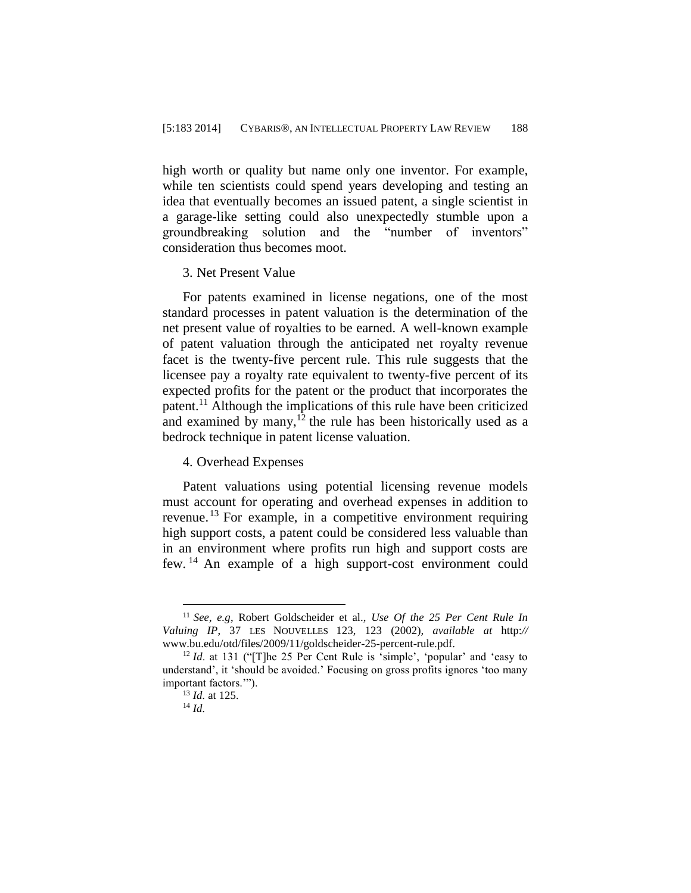high worth or quality but name only one inventor. For example, while ten scientists could spend years developing and testing an idea that eventually becomes an issued patent, a single scientist in a garage-like setting could also unexpectedly stumble upon a groundbreaking solution and the "number of inventors" consideration thus becomes moot.

#### 3. Net Present Value

For patents examined in license negations, one of the most standard processes in patent valuation is the determination of the net present value of royalties to be earned. A well-known example of patent valuation through the anticipated net royalty revenue facet is the twenty-five percent rule. This rule suggests that the licensee pay a royalty rate equivalent to twenty-five percent of its expected profits for the patent or the product that incorporates the patent.<sup>11</sup> Although the implications of this rule have been criticized and examined by many, $12$  the rule has been historically used as a bedrock technique in patent license valuation.

## 4. Overhead Expenses

Patent valuations using potential licensing revenue models must account for operating and overhead expenses in addition to revenue.<sup>13</sup> For example, in a competitive environment requiring high support costs, a patent could be considered less valuable than in an environment where profits run high and support costs are few. <sup>14</sup> An example of a high support-cost environment could

<sup>11</sup> *See, e.g*, Robert Goldscheider et al., *Use Of the 25 Per Cent Rule In Valuing IP*, 37 LES NOUVELLES 123, 123 (2002)*, available at* http:*//* www.bu.edu/otd/files/2009/11/goldscheider-25-percent-rule.pdf.

<sup>&</sup>lt;sup>12</sup> *Id.* at 131 ("[T]he 25 Per Cent Rule is 'simple', 'popular' and 'easy to understand', it 'should be avoided.' Focusing on gross profits ignores 'too many important factors.'").

<sup>13</sup> *Id.* at 125.

<sup>14</sup> *Id.*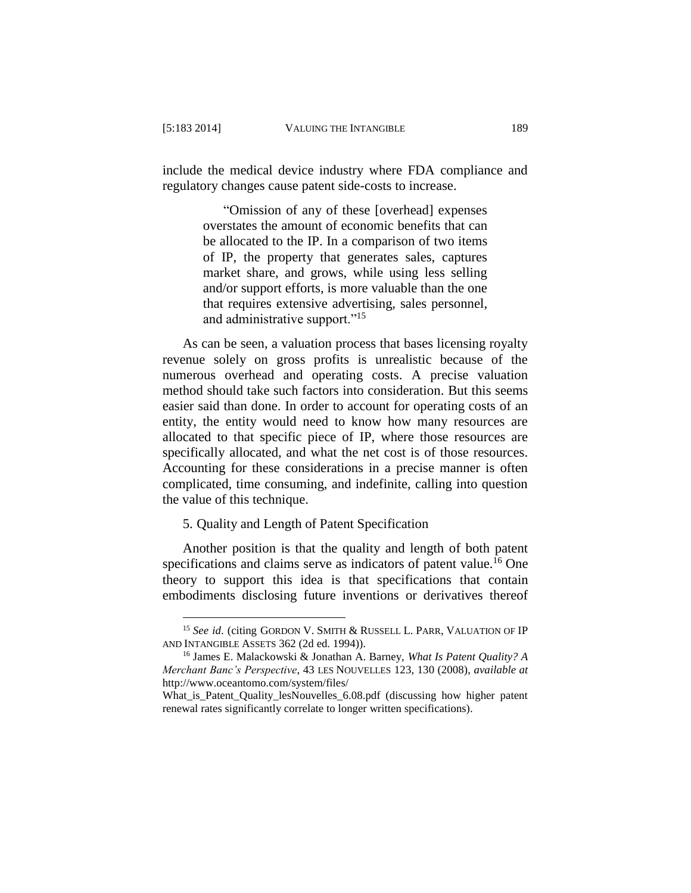$\overline{a}$ 

include the medical device industry where FDA compliance and regulatory changes cause patent side-costs to increase.

> "Omission of any of these [overhead] expenses overstates the amount of economic benefits that can be allocated to the IP. In a comparison of two items of IP, the property that generates sales, captures market share, and grows, while using less selling and/or support efforts, is more valuable than the one that requires extensive advertising, sales personnel, and administrative support."<sup>15</sup>

As can be seen, a valuation process that bases licensing royalty revenue solely on gross profits is unrealistic because of the numerous overhead and operating costs. A precise valuation method should take such factors into consideration. But this seems easier said than done. In order to account for operating costs of an entity, the entity would need to know how many resources are allocated to that specific piece of IP, where those resources are specifically allocated, and what the net cost is of those resources. Accounting for these considerations in a precise manner is often complicated, time consuming, and indefinite, calling into question the value of this technique.

5. Quality and Length of Patent Specification

Another position is that the quality and length of both patent specifications and claims serve as indicators of patent value.<sup>16</sup> One theory to support this idea is that specifications that contain embodiments disclosing future inventions or derivatives thereof

<sup>&</sup>lt;sup>15</sup> See id. (citing GORDON V. SMITH & RUSSELL L. PARR, VALUATION OF IP AND INTANGIBLE ASSETS 362 (2d ed. 1994)).

<sup>16</sup> James E. Malackowski & Jonathan A. Barney, *What Is Patent Quality? A Merchant Banc's Perspective*, 43 LES NOUVELLES 123, 130 (2008), *available at*  http://www.oceantomo.com/system/files/

What is Patent Quality lesNouvelles 6.08.pdf (discussing how higher patent renewal rates significantly correlate to longer written specifications).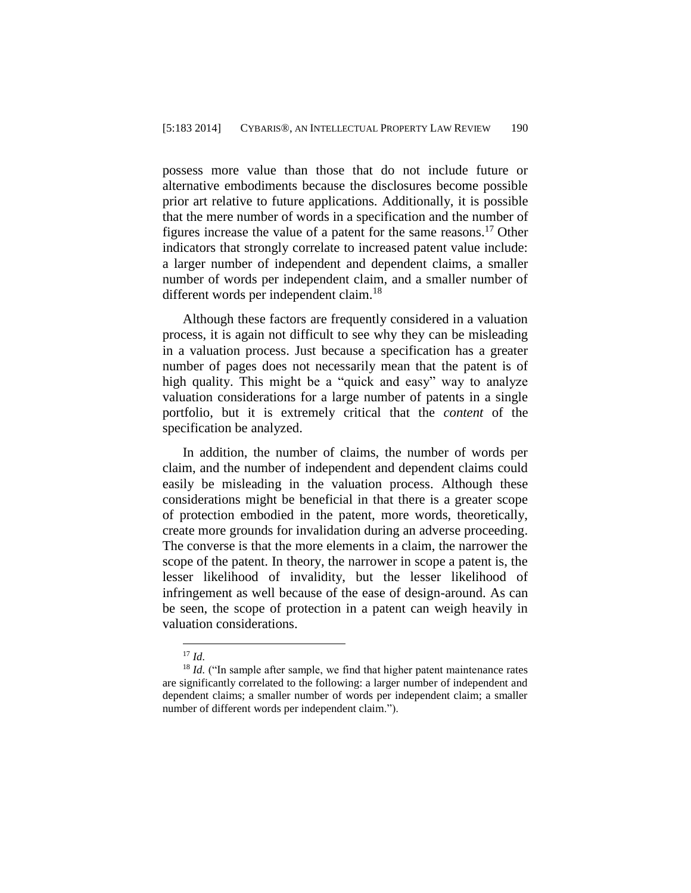possess more value than those that do not include future or alternative embodiments because the disclosures become possible prior art relative to future applications. Additionally, it is possible that the mere number of words in a specification and the number of figures increase the value of a patent for the same reasons. <sup>17</sup> Other indicators that strongly correlate to increased patent value include: a larger number of independent and dependent claims, a smaller number of words per independent claim, and a smaller number of different words per independent claim.<sup>18</sup>

Although these factors are frequently considered in a valuation process, it is again not difficult to see why they can be misleading in a valuation process. Just because a specification has a greater number of pages does not necessarily mean that the patent is of high quality. This might be a "quick and easy" way to analyze valuation considerations for a large number of patents in a single portfolio, but it is extremely critical that the *content* of the specification be analyzed.

In addition, the number of claims, the number of words per claim, and the number of independent and dependent claims could easily be misleading in the valuation process. Although these considerations might be beneficial in that there is a greater scope of protection embodied in the patent, more words, theoretically, create more grounds for invalidation during an adverse proceeding. The converse is that the more elements in a claim, the narrower the scope of the patent. In theory, the narrower in scope a patent is, the lesser likelihood of invalidity, but the lesser likelihood of infringement as well because of the ease of design-around. As can be seen, the scope of protection in a patent can weigh heavily in valuation considerations.

<sup>17</sup> *Id.*

<sup>&</sup>lt;sup>18</sup> *Id.* ("In sample after sample, we find that higher patent maintenance rates are significantly correlated to the following: a larger number of independent and dependent claims; a smaller number of words per independent claim; a smaller number of different words per independent claim.").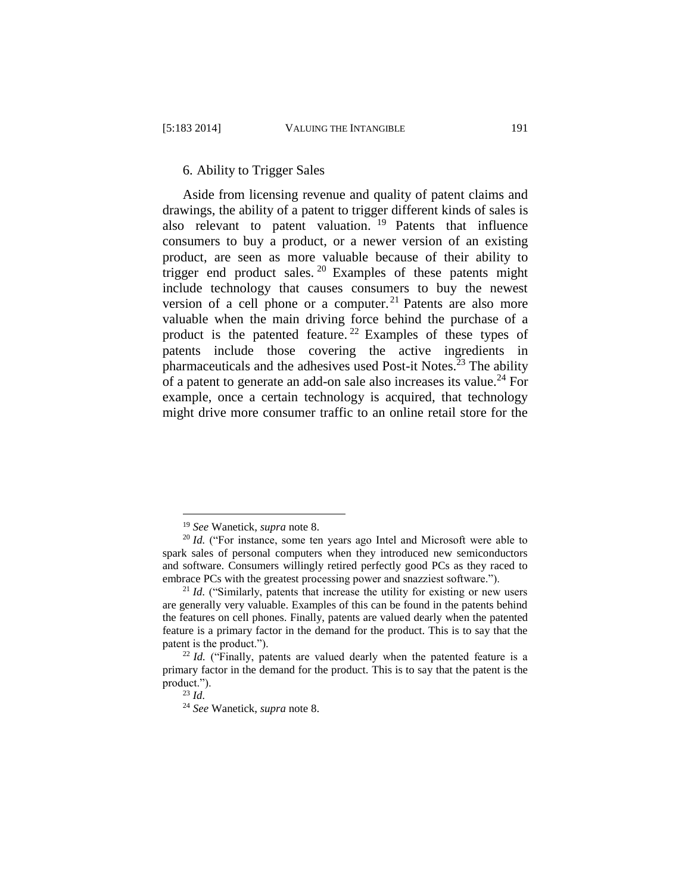Aside from licensing revenue and quality of patent claims and drawings, the ability of a patent to trigger different kinds of sales is also relevant to patent valuation.<sup>19</sup> Patents that influence consumers to buy a product, or a newer version of an existing product, are seen as more valuable because of their ability to trigger end product sales.<sup>20</sup> Examples of these patents might include technology that causes consumers to buy the newest version of a cell phone or a computer.<sup>21</sup> Patents are also more valuable when the main driving force behind the purchase of a product is the patented feature.<sup>22</sup> Examples of these types of patents include those covering the active ingredients in pharmaceuticals and the adhesives used Post-it Notes.<sup>23</sup> The ability of a patent to generate an add-on sale also increases its value.<sup>24</sup> For example, once a certain technology is acquired, that technology might drive more consumer traffic to an online retail store for the

<sup>19</sup> *See* Wanetick, *supra* note 8.

<sup>&</sup>lt;sup>20</sup> *Id.* ("For instance, some ten years ago Intel and Microsoft were able to spark sales of personal computers when they introduced new semiconductors and software. Consumers willingly retired perfectly good PCs as they raced to embrace PCs with the greatest processing power and snazziest software.").

<sup>&</sup>lt;sup>21</sup> *Id.* ("Similarly, patents that increase the utility for existing or new users are generally very valuable. Examples of this can be found in the patents behind the features on cell phones. Finally, patents are valued dearly when the patented feature is a primary factor in the demand for the product. This is to say that the patent is the product.").

<sup>&</sup>lt;sup>22</sup> *Id.* ("Finally, patents are valued dearly when the patented feature is a primary factor in the demand for the product. This is to say that the patent is the product.").

<sup>23</sup> *Id.*

<sup>24</sup> *See* Wanetick, *supra* note 8.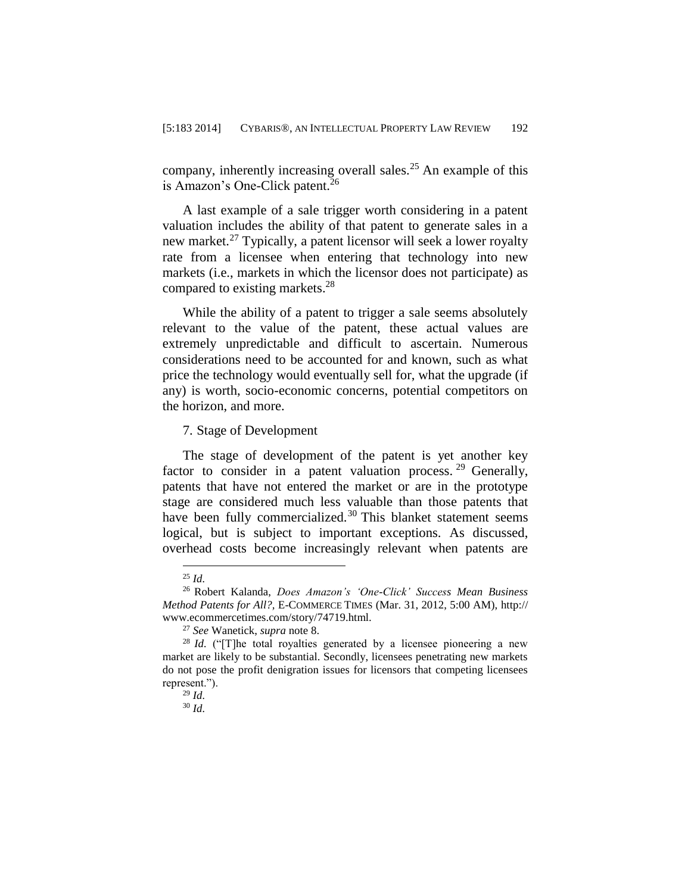company, inherently increasing overall sales.<sup>25</sup> An example of this is Amazon's One-Click patent.<sup>26</sup>

A last example of a sale trigger worth considering in a patent valuation includes the ability of that patent to generate sales in a new market.<sup>27</sup> Typically, a patent licensor will seek a lower royalty rate from a licensee when entering that technology into new markets (i.e., markets in which the licensor does not participate) as compared to existing markets.<sup>28</sup>

While the ability of a patent to trigger a sale seems absolutely relevant to the value of the patent, these actual values are extremely unpredictable and difficult to ascertain. Numerous considerations need to be accounted for and known, such as what price the technology would eventually sell for, what the upgrade (if any) is worth, socio-economic concerns, potential competitors on the horizon, and more.

7. Stage of Development

The stage of development of the patent is yet another key factor to consider in a patent valuation process.  $29$  Generally, patents that have not entered the market or are in the prototype stage are considered much less valuable than those patents that have been fully commercialized.<sup>30</sup> This blanket statement seems logical, but is subject to important exceptions. As discussed, overhead costs become increasingly relevant when patents are

 $\overline{a}$ <sup>25</sup> *Id.*

<sup>26</sup> Robert Kalanda, *Does Amazon's 'One-Click' Success Mean Business Method Patents for All?,* E-COMMERCE TIMES (Mar. 31, 2012, 5:00 AM), [http://](http://www.ecommercetimes.com/story/74719.html) [www.ecommercetimes.com/story/74719.html.](http://www.ecommercetimes.com/story/74719.html)

<sup>27</sup> *See* Wanetick, *supra* note 8.

<sup>&</sup>lt;sup>28</sup> *Id.* ("[T]he total royalties generated by a licensee pioneering a new market are likely to be substantial. Secondly, licensees penetrating new markets do not pose the profit denigration issues for licensors that competing licensees represent.").

<sup>29</sup> *Id.*

<sup>30</sup> *Id.*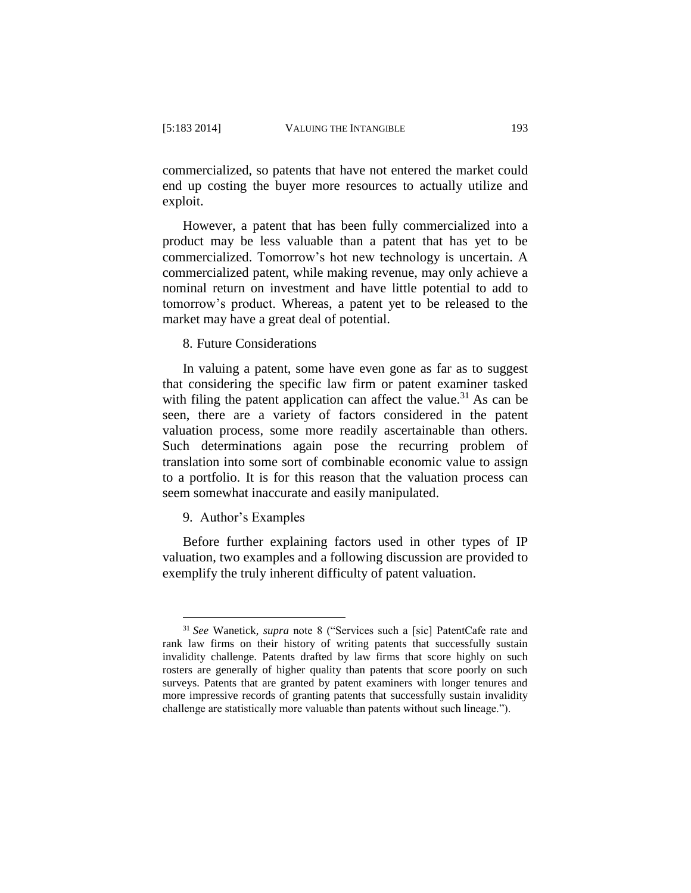commercialized, so patents that have not entered the market could end up costing the buyer more resources to actually utilize and exploit.

However, a patent that has been fully commercialized into a product may be less valuable than a patent that has yet to be commercialized. Tomorrow's hot new technology is uncertain. A commercialized patent, while making revenue, may only achieve a nominal return on investment and have little potential to add to tomorrow's product. Whereas, a patent yet to be released to the market may have a great deal of potential.

8. Future Considerations

In valuing a patent, some have even gone as far as to suggest that considering the specific law firm or patent examiner tasked with filing the patent application can affect the value.<sup>31</sup> As can be seen, there are a variety of factors considered in the patent valuation process, some more readily ascertainable than others. Such determinations again pose the recurring problem of translation into some sort of combinable economic value to assign to a portfolio. It is for this reason that the valuation process can seem somewhat inaccurate and easily manipulated.

9. Author's Examples

 $\overline{a}$ 

Before further explaining factors used in other types of IP valuation, two examples and a following discussion are provided to exemplify the truly inherent difficulty of patent valuation.

<sup>31</sup> *See* Wanetick, *supra* note 8 ("Services such a [sic] PatentCafe rate and rank law firms on their history of writing patents that successfully sustain invalidity challenge. Patents drafted by law firms that score highly on such rosters are generally of higher quality than patents that score poorly on such surveys. Patents that are granted by patent examiners with longer tenures and more impressive records of granting patents that successfully sustain invalidity challenge are statistically more valuable than patents without such lineage.").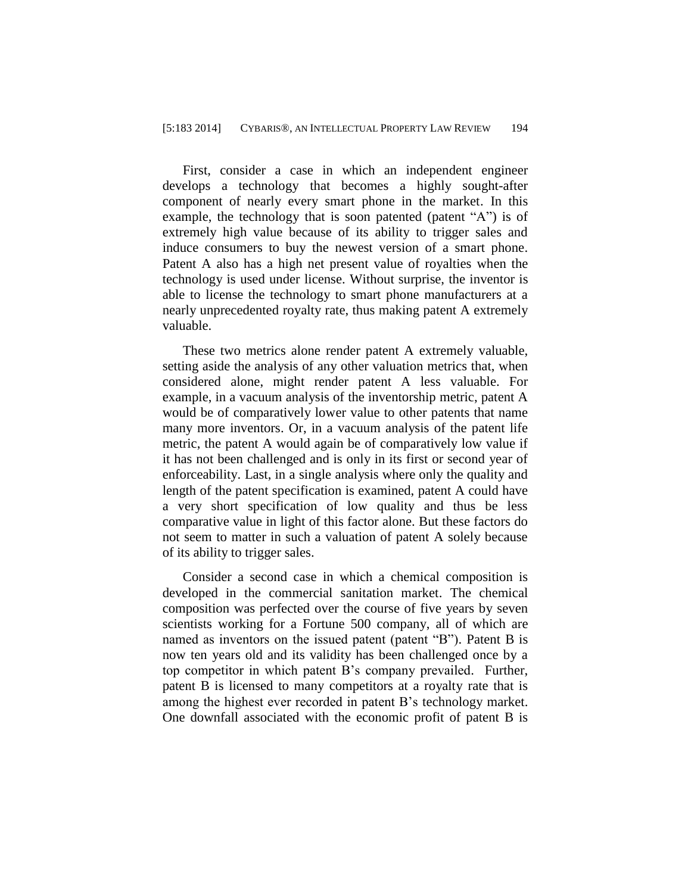First, consider a case in which an independent engineer develops a technology that becomes a highly sought-after component of nearly every smart phone in the market. In this example, the technology that is soon patented (patent "A") is of extremely high value because of its ability to trigger sales and induce consumers to buy the newest version of a smart phone. Patent A also has a high net present value of royalties when the technology is used under license. Without surprise, the inventor is able to license the technology to smart phone manufacturers at a nearly unprecedented royalty rate, thus making patent A extremely valuable.

These two metrics alone render patent A extremely valuable, setting aside the analysis of any other valuation metrics that, when considered alone, might render patent A less valuable. For example, in a vacuum analysis of the inventorship metric, patent A would be of comparatively lower value to other patents that name many more inventors. Or, in a vacuum analysis of the patent life metric, the patent A would again be of comparatively low value if it has not been challenged and is only in its first or second year of enforceability. Last, in a single analysis where only the quality and length of the patent specification is examined, patent A could have a very short specification of low quality and thus be less comparative value in light of this factor alone. But these factors do not seem to matter in such a valuation of patent A solely because of its ability to trigger sales.

Consider a second case in which a chemical composition is developed in the commercial sanitation market. The chemical composition was perfected over the course of five years by seven scientists working for a Fortune 500 company, all of which are named as inventors on the issued patent (patent "B"). Patent B is now ten years old and its validity has been challenged once by a top competitor in which patent B's company prevailed. Further, patent B is licensed to many competitors at a royalty rate that is among the highest ever recorded in patent B's technology market. One downfall associated with the economic profit of patent B is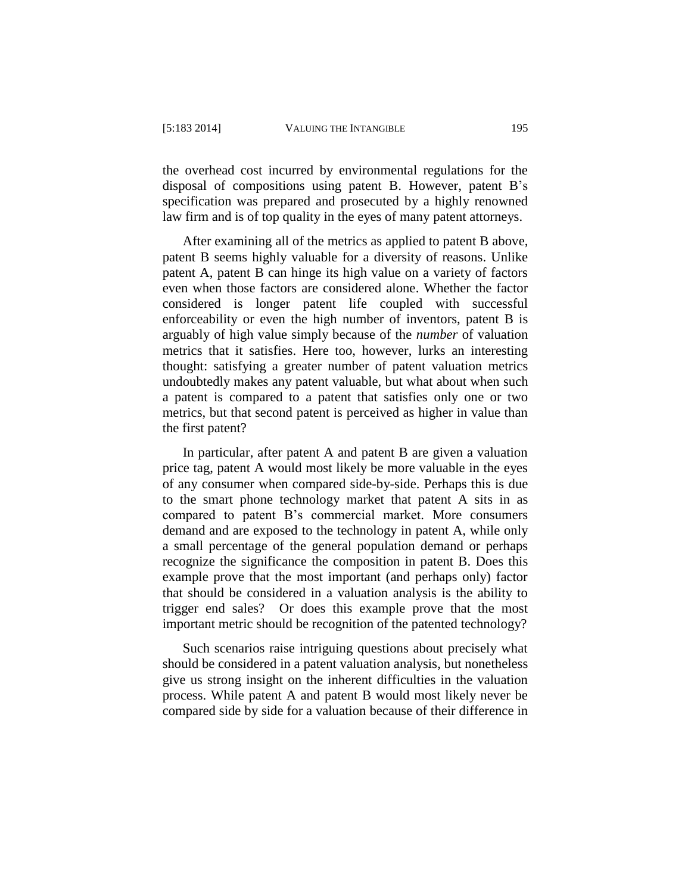the overhead cost incurred by environmental regulations for the disposal of compositions using patent B. However, patent B's specification was prepared and prosecuted by a highly renowned law firm and is of top quality in the eyes of many patent attorneys.

After examining all of the metrics as applied to patent B above, patent B seems highly valuable for a diversity of reasons. Unlike patent A, patent B can hinge its high value on a variety of factors even when those factors are considered alone. Whether the factor considered is longer patent life coupled with successful enforceability or even the high number of inventors, patent B is arguably of high value simply because of the *number* of valuation metrics that it satisfies. Here too, however, lurks an interesting thought: satisfying a greater number of patent valuation metrics undoubtedly makes any patent valuable, but what about when such a patent is compared to a patent that satisfies only one or two metrics, but that second patent is perceived as higher in value than the first patent?

In particular, after patent A and patent B are given a valuation price tag, patent A would most likely be more valuable in the eyes of any consumer when compared side-by-side. Perhaps this is due to the smart phone technology market that patent A sits in as compared to patent B's commercial market. More consumers demand and are exposed to the technology in patent A, while only a small percentage of the general population demand or perhaps recognize the significance the composition in patent B. Does this example prove that the most important (and perhaps only) factor that should be considered in a valuation analysis is the ability to trigger end sales? Or does this example prove that the most important metric should be recognition of the patented technology?

Such scenarios raise intriguing questions about precisely what should be considered in a patent valuation analysis, but nonetheless give us strong insight on the inherent difficulties in the valuation process. While patent A and patent B would most likely never be compared side by side for a valuation because of their difference in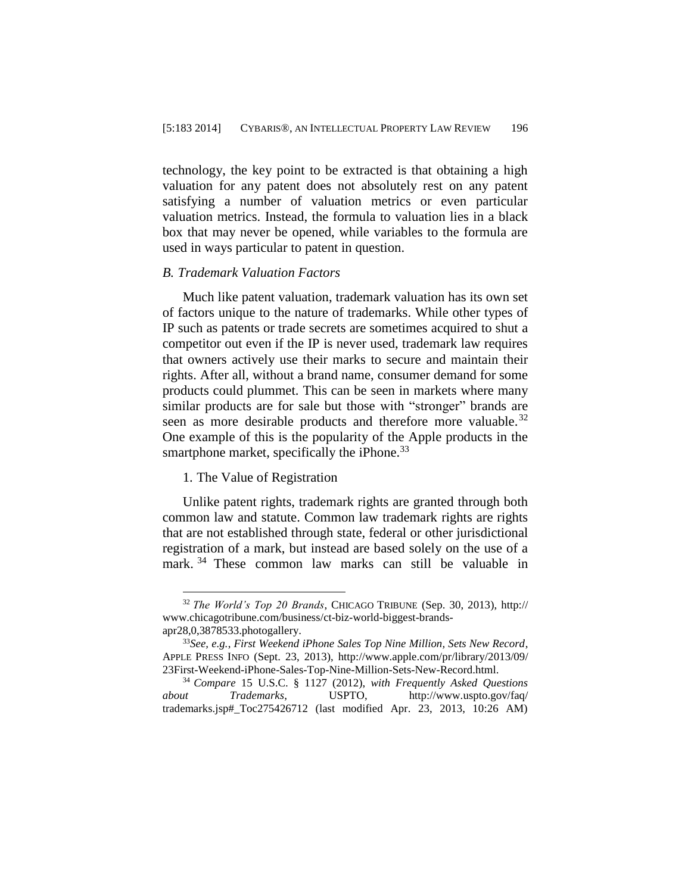technology, the key point to be extracted is that obtaining a high valuation for any patent does not absolutely rest on any patent satisfying a number of valuation metrics or even particular valuation metrics. Instead, the formula to valuation lies in a black box that may never be opened, while variables to the formula are used in ways particular to patent in question.

## *B. Trademark Valuation Factors*

Much like patent valuation, trademark valuation has its own set of factors unique to the nature of trademarks. While other types of IP such as patents or trade secrets are sometimes acquired to shut a competitor out even if the IP is never used, trademark law requires that owners actively use their marks to secure and maintain their rights. After all, without a brand name, consumer demand for some products could plummet. This can be seen in markets where many similar products are for sale but those with "stronger" brands are seen as more desirable products and therefore more valuable.<sup>32</sup> One example of this is the popularity of the Apple products in the smartphone market, specifically the iPhone.<sup>33</sup>

## 1. The Value of Registration

 $\overline{a}$ 

Unlike patent rights, trademark rights are granted through both common law and statute. Common law trademark rights are rights that are not established through state, federal or other jurisdictional registration of a mark, but instead are based solely on the use of a mark.<sup>34</sup> These common law marks can still be valuable in

<sup>32</sup> *The World's Top 20 Brands*, CHICAGO TRIBUNE (Sep. 30, 2013), http:// www.chicagotribune.com/business/ct-biz-world-biggest-brandsapr28,0,3878533.photogallery.

<sup>33</sup>*See, e.g.*, *First Weekend iPhone Sales Top Nine Million, Sets New Record*, APPLE PRESS INFO (Sept. 23, 2013), http://www.apple.com/pr/library/2013/09/ 23First-Weekend-iPhone-Sales-Top-Nine-Million-Sets-New-Record.html.

<sup>34</sup> *Compare* 15 U.S.C. § 1127 (2012), *with Frequently Asked Questions about Trademarks*, USPTO, http://www.uspto.gov/faq/ trademarks.jsp#\_Toc275426712 (last modified Apr. 23, 2013, 10:26 AM)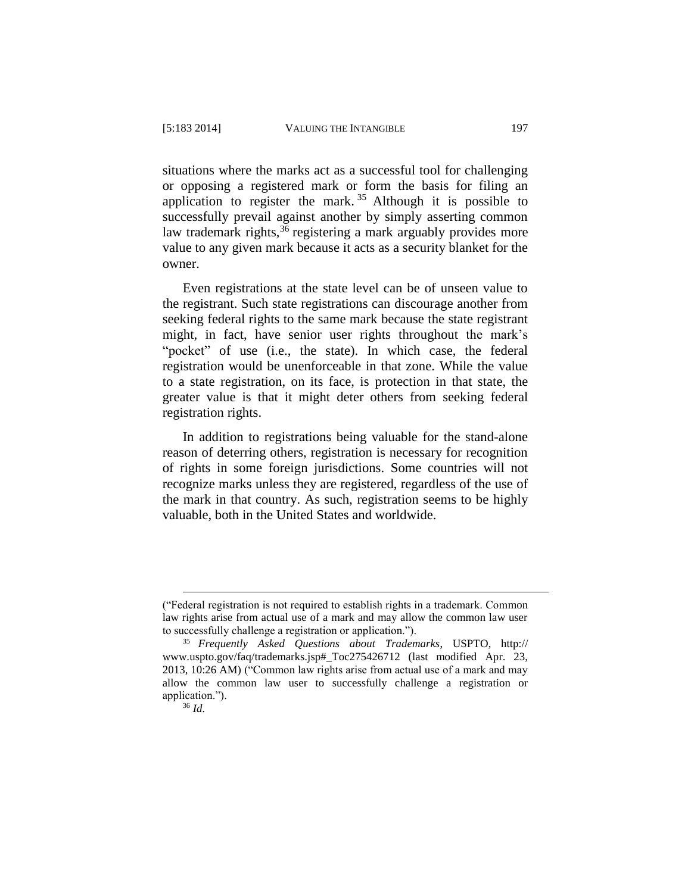situations where the marks act as a successful tool for challenging or opposing a registered mark or form the basis for filing an application to register the mark.<sup>35</sup> Although it is possible to successfully prevail against another by simply asserting common law trademark rights,<sup>36</sup> registering a mark arguably provides more value to any given mark because it acts as a security blanket for the owner.

Even registrations at the state level can be of unseen value to the registrant. Such state registrations can discourage another from seeking federal rights to the same mark because the state registrant might, in fact, have senior user rights throughout the mark's "pocket" of use (i.e., the state). In which case, the federal registration would be unenforceable in that zone. While the value to a state registration, on its face, is protection in that state, the greater value is that it might deter others from seeking federal registration rights.

In addition to registrations being valuable for the stand-alone reason of deterring others, registration is necessary for recognition of rights in some foreign jurisdictions. Some countries will not recognize marks unless they are registered, regardless of the use of the mark in that country. As such, registration seems to be highly valuable, both in the United States and worldwide.

<sup>(&</sup>quot;Federal registration is not required to establish rights in a trademark. Common law rights arise from actual use of a mark and may allow the common law user to successfully challenge a registration or application.").

<sup>35</sup> *Frequently Asked Questions about Trademarks*, USPTO, http:// www.uspto.gov/faq/trademarks.jsp#\_Toc275426712 (last modified Apr. 23, 2013, 10:26 AM) ("Common law rights arise from actual use of a mark and may allow the common law user to successfully challenge a registration or application.").

<sup>36</sup> *Id.*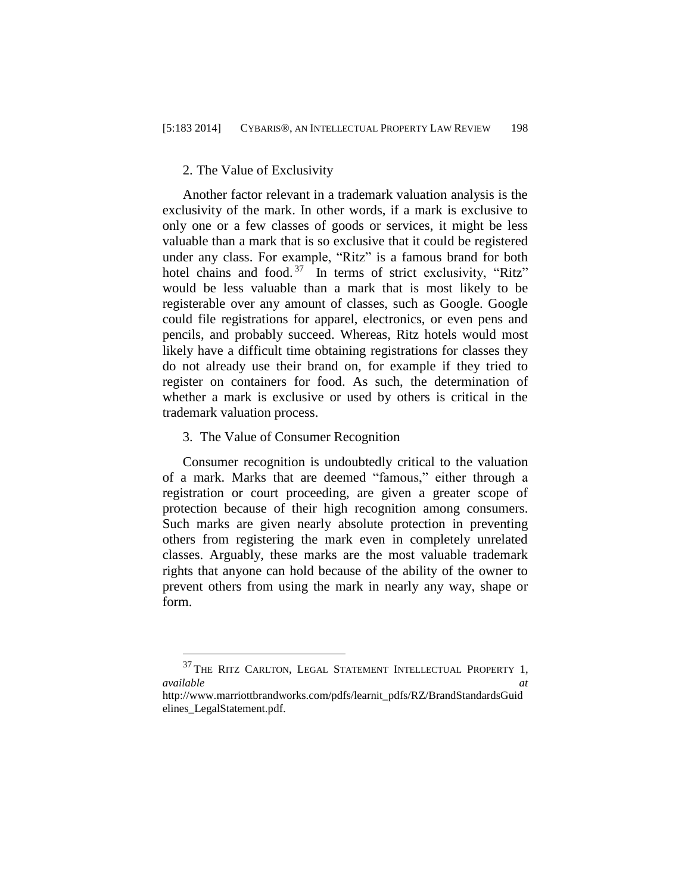#### 2. The Value of Exclusivity

Another factor relevant in a trademark valuation analysis is the exclusivity of the mark. In other words, if a mark is exclusive to only one or a few classes of goods or services, it might be less valuable than a mark that is so exclusive that it could be registered under any class. For example, "Ritz" is a famous brand for both hotel chains and food.<sup>37</sup> In terms of strict exclusivity, "Ritz" would be less valuable than a mark that is most likely to be registerable over any amount of classes, such as Google. Google could file registrations for apparel, electronics, or even pens and pencils, and probably succeed. Whereas, Ritz hotels would most likely have a difficult time obtaining registrations for classes they do not already use their brand on, for example if they tried to register on containers for food. As such, the determination of whether a mark is exclusive or used by others is critical in the trademark valuation process.

#### 3. The Value of Consumer Recognition

 $\overline{a}$ 

Consumer recognition is undoubtedly critical to the valuation of a mark. Marks that are deemed "famous," either through a registration or court proceeding, are given a greater scope of protection because of their high recognition among consumers. Such marks are given nearly absolute protection in preventing others from registering the mark even in completely unrelated classes. Arguably, these marks are the most valuable trademark rights that anyone can hold because of the ability of the owner to prevent others from using the mark in nearly any way, shape or form.

 $^{37}$  THE RITZ CARLTON, LEGAL STATEMENT INTELLECTUAL PROPERTY 1, *available at*

http://www.marriottbrandworks.com/pdfs/learnit\_pdfs/RZ/BrandStandardsGuid elines\_LegalStatement.pdf.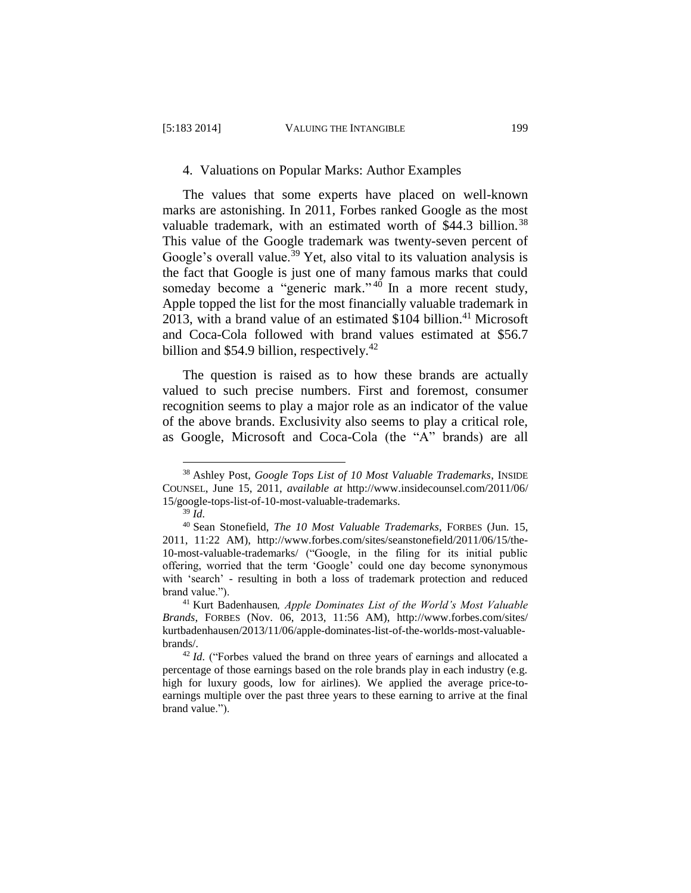#### 4. Valuations on Popular Marks: Author Examples

The values that some experts have placed on well-known marks are astonishing. In 2011, Forbes ranked Google as the most valuable trademark, with an estimated worth of \$44.3 billion.<sup>38</sup> This value of the Google trademark was twenty-seven percent of Google's overall value.<sup>39</sup> Yet, also vital to its valuation analysis is the fact that Google is just one of many famous marks that could someday become a "generic mark."<sup>40</sup> In a more recent study, Apple topped the list for the most financially valuable trademark in 2013, with a brand value of an estimated  $$104$  billion.<sup>41</sup> Microsoft and Coca-Cola followed with brand values estimated at \$56.7 billion and \$54.9 billion, respectively.<sup>42</sup>

The question is raised as to how these brands are actually valued to such precise numbers. First and foremost, consumer recognition seems to play a major role as an indicator of the value of the above brands. Exclusivity also seems to play a critical role, as Google, Microsoft and Coca-Cola (the "A" brands) are all

<sup>38</sup> Ashley Post, *Google Tops List of 10 Most Valuable Trademarks*, INSIDE COUNSEL, June 15, 2011, *available at* [http://www.insidecounsel.com/2011/06/](http://‌/‌www.insidecounsel.com/‌2011/‌06/‌15/‌google-tops-list-of-10-most-valuable-trademarks) [15/google-tops-list-of-10-most-valuable-trademarks.](http://‌/‌www.insidecounsel.com/‌2011/‌06/‌15/‌google-tops-list-of-10-most-valuable-trademarks)

<sup>39</sup> *Id.*

<sup>40</sup> Sean Stonefield, *The 10 Most Valuable Trademarks*, FORBES (Jun. 15, 2011, 11:22 AM), http://www.forbes.com/sites/seanstonefield/2011/06/15/the-10-most-valuable-trademarks/ ("Google, in the filing for its initial public offering, worried that the term 'Google' could one day become synonymous with 'search' - resulting in both a loss of trademark protection and reduced brand value.").

<sup>41</sup> Kurt Badenhausen*, Apple Dominates List of the World's Most Valuable Brands*, FORBES (Nov. 06, 2013, 11:56 AM), http://www.forbes.com/sites/ kurtbadenhausen/2013/11/06/apple-dominates-list-of-the-worlds-most-valuablebrands/.

<sup>&</sup>lt;sup>42</sup> Id. ("Forbes valued the brand on three years of earnings and allocated a percentage of those earnings based on the role brands play in each industry (e.g. high for luxury goods, low for airlines). We applied the average price-toearnings multiple over the past three years to these earning to arrive at the final brand value.").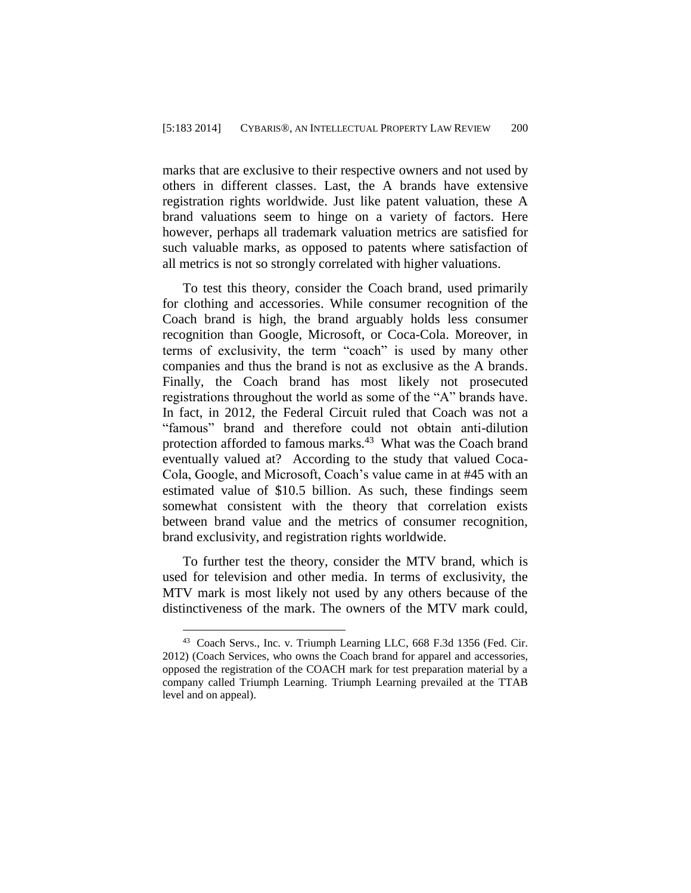marks that are exclusive to their respective owners and not used by others in different classes. Last, the A brands have extensive registration rights worldwide. Just like patent valuation, these A brand valuations seem to hinge on a variety of factors. Here however, perhaps all trademark valuation metrics are satisfied for such valuable marks, as opposed to patents where satisfaction of all metrics is not so strongly correlated with higher valuations.

To test this theory, consider the Coach brand, used primarily for clothing and accessories. While consumer recognition of the Coach brand is high, the brand arguably holds less consumer recognition than Google, Microsoft, or Coca-Cola. Moreover, in terms of exclusivity, the term "coach" is used by many other companies and thus the brand is not as exclusive as the A brands. Finally, the Coach brand has most likely not prosecuted registrations throughout the world as some of the "A" brands have. In fact, in 2012, the Federal Circuit ruled that Coach was not a "famous" brand and therefore could not obtain anti-dilution protection afforded to famous marks.<sup>43</sup> What was the Coach brand eventually valued at? According to the study that valued Coca-Cola, Google, and Microsoft, Coach's value came in at #45 with an estimated value of \$10.5 billion. As such, these findings seem somewhat consistent with the theory that correlation exists between brand value and the metrics of consumer recognition, brand exclusivity, and registration rights worldwide.

To further test the theory, consider the MTV brand, which is used for television and other media. In terms of exclusivity, the MTV mark is most likely not used by any others because of the distinctiveness of the mark. The owners of the MTV mark could,

<sup>43</sup> Coach Servs., Inc. v. Triumph Learning LLC, 668 F.3d 1356 (Fed. Cir. 2012) (Coach Services, who owns the Coach brand for apparel and accessories, opposed the registration of the COACH mark for test preparation material by a company called Triumph Learning. Triumph Learning prevailed at the TTAB level and on appeal).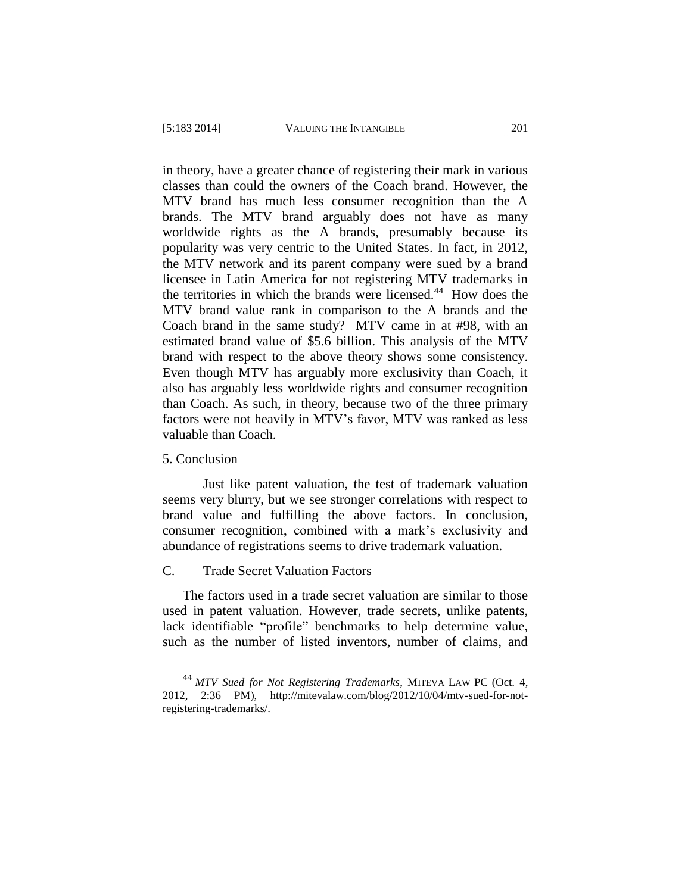in theory, have a greater chance of registering their mark in various classes than could the owners of the Coach brand. However, the MTV brand has much less consumer recognition than the A brands. The MTV brand arguably does not have as many worldwide rights as the A brands, presumably because its popularity was very centric to the United States. In fact, in 2012, the MTV network and its parent company were sued by a brand licensee in Latin America for not registering MTV trademarks in the territories in which the brands were licensed.<sup>44</sup> How does the MTV brand value rank in comparison to the A brands and the Coach brand in the same study? MTV came in at #98, with an estimated brand value of \$5.6 billion. This analysis of the MTV brand with respect to the above theory shows some consistency. Even though MTV has arguably more exclusivity than Coach, it also has arguably less worldwide rights and consumer recognition than Coach. As such, in theory, because two of the three primary factors were not heavily in MTV's favor, MTV was ranked as less valuable than Coach.

5. Conclusion

 $\overline{a}$ 

Just like patent valuation, the test of trademark valuation seems very blurry, but we see stronger correlations with respect to brand value and fulfilling the above factors. In conclusion, consumer recognition, combined with a mark's exclusivity and abundance of registrations seems to drive trademark valuation.

## C. Trade Secret Valuation Factors

The factors used in a trade secret valuation are similar to those used in patent valuation. However, trade secrets, unlike patents, lack identifiable "profile" benchmarks to help determine value, such as the number of listed inventors, number of claims, and

<sup>44</sup> *MTV Sued for Not Registering Trademarks*, MITEVA LAW PC (Oct. 4, 2012, 2:36 PM), [http://mitevalaw.com/blog/2012/10/04/mtv-sued-for-not](http://mitevalaw.com/blog/2012/10/04/mtv-sued-for-not-registering-trademarks/)[registering-trademarks/.](http://mitevalaw.com/blog/2012/10/04/mtv-sued-for-not-registering-trademarks/)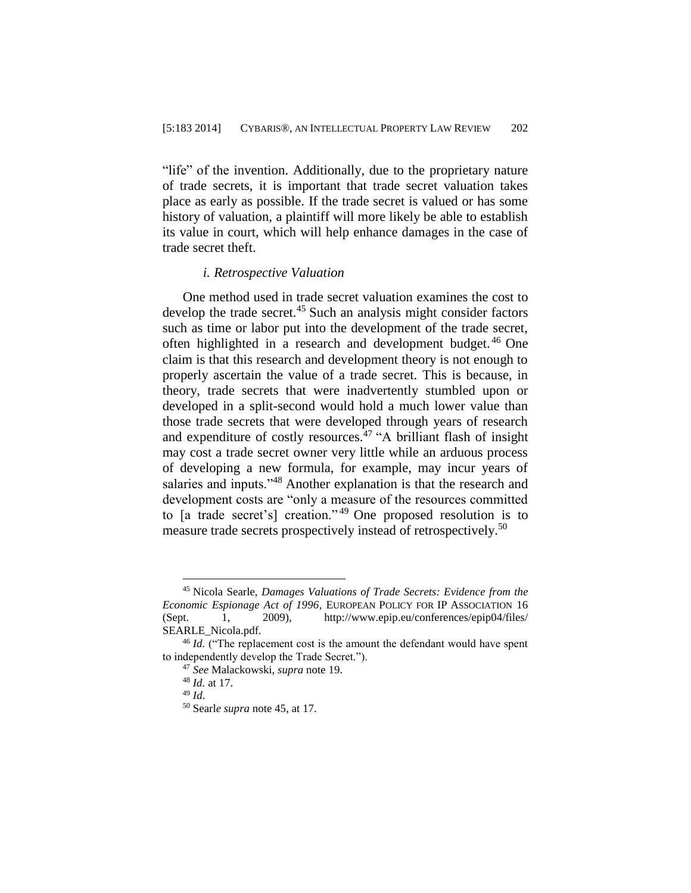"life" of the invention. Additionally, due to the proprietary nature of trade secrets, it is important that trade secret valuation takes place as early as possible. If the trade secret is valued or has some history of valuation, a plaintiff will more likely be able to establish its value in court, which will help enhance damages in the case of trade secret theft.

#### *i. Retrospective Valuation*

One method used in trade secret valuation examines the cost to develop the trade secret.<sup>45</sup> Such an analysis might consider factors such as time or labor put into the development of the trade secret, often highlighted in a research and development budget. <sup>46</sup> One claim is that this research and development theory is not enough to properly ascertain the value of a trade secret. This is because, in theory, trade secrets that were inadvertently stumbled upon or developed in a split-second would hold a much lower value than those trade secrets that were developed through years of research and expenditure of costly resources.<sup>47</sup> "A brilliant flash of insight may cost a trade secret owner very little while an arduous process of developing a new formula, for example, may incur years of salaries and inputs."<sup>48</sup> Another explanation is that the research and development costs are "only a measure of the resources committed to [a trade secret's] creation." <sup>49</sup> One proposed resolution is to measure trade secrets prospectively instead of retrospectively. 50

<sup>45</sup> Nicola Searle, *Damages Valuations of Trade Secrets: Evidence from the Economic Espionage Act of 1996*, EUROPEAN POLICY FOR IP ASSOCIATION 16 (Sept. 1, 2009), http://www.epip.eu/conferences/epip04/files/ SEARLE\_Nicola.pdf.

<sup>&</sup>lt;sup>46</sup> *Id.* ("The replacement cost is the amount the defendant would have spent to independently develop the Trade Secret.").

<sup>47</sup> *See* Malackowski, *supra* note 19.

<sup>48</sup> *Id.* at 17.

<sup>49</sup> *Id*.

<sup>50</sup> Searl*e supra* note 45, at 17.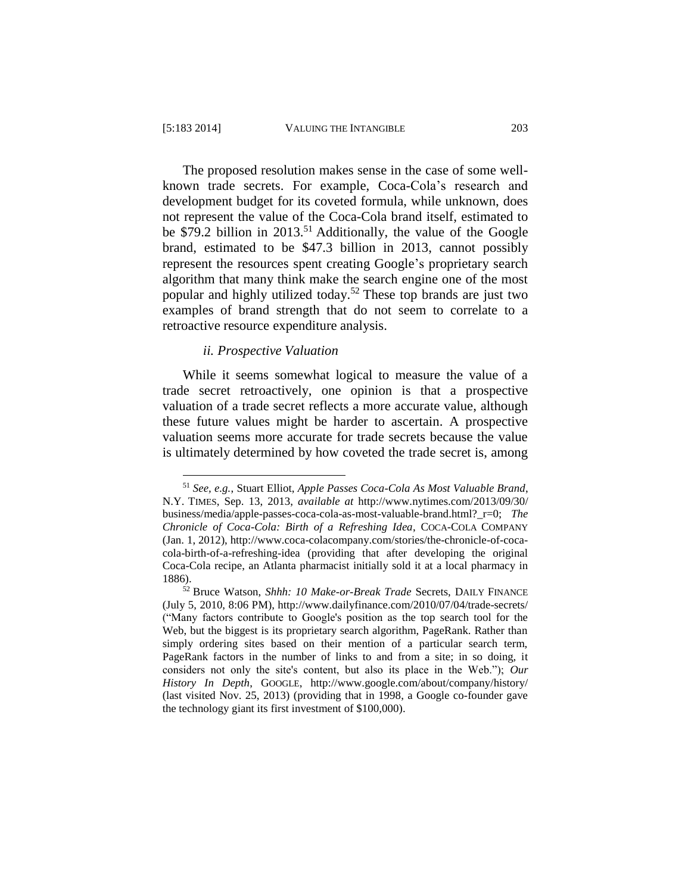$\overline{a}$ 

The proposed resolution makes sense in the case of some wellknown trade secrets. For example, Coca-Cola's research and development budget for its coveted formula, while unknown, does not represent the value of the Coca-Cola brand itself, estimated to be \$79.2 billion in 2013.<sup>51</sup> Additionally, the value of the Google brand, estimated to be \$47.3 billion in 2013, cannot possibly represent the resources spent creating Google's proprietary search algorithm that many think make the search engine one of the most popular and highly utilized today.<sup>52</sup> These top brands are just two examples of brand strength that do not seem to correlate to a retroactive resource expenditure analysis.

#### *ii. Prospective Valuation*

While it seems somewhat logical to measure the value of a trade secret retroactively, one opinion is that a prospective valuation of a trade secret reflects a more accurate value, although these future values might be harder to ascertain. A prospective valuation seems more accurate for trade secrets because the value is ultimately determined by how coveted the trade secret is, among

<sup>51</sup> *See, e.g.*, Stuart Elliot, *Apple Passes Coca-Cola As Most Valuable Brand*, N.Y. TIMES, Sep. 13, 2013, *available at* http://www.nytimes.com/2013/09/30/ business/media/apple-passes-coca-cola-as-most-valuable-brand.html?\_r=0; *The Chronicle of Coca-Cola: Birth of a Refreshing Idea*, COCA-COLA COMPANY (Jan. 1, 2012), http://www.coca-colacompany.com/stories/the-chronicle-of-cocacola-birth-of-a-refreshing-idea (providing that after developing the original Coca-Cola recipe, an Atlanta pharmacist initially sold it at a local pharmacy in 1886).

<sup>52</sup> Bruce Watson, *Shhh: 10 Make-or-Break Trade* Secrets, DAILY FINANCE (July 5, 2010, 8:06 PM), http://www.dailyfinance.com/2010/07/04/trade-secrets/ ("Many factors contribute to Google's position as the top search tool for the Web, but the biggest is its proprietary search algorithm, PageRank. Rather than simply ordering sites based on their mention of a particular search term, PageRank factors in the number of links to and from a site; in so doing, it considers not only the site's content, but also its place in the Web."); *Our History In Depth*, GOOGLE, http://www.google.com/about/company/history/ (last visited Nov. 25, 2013) (providing that in 1998, a Google co-founder gave the technology giant its first investment of \$100,000).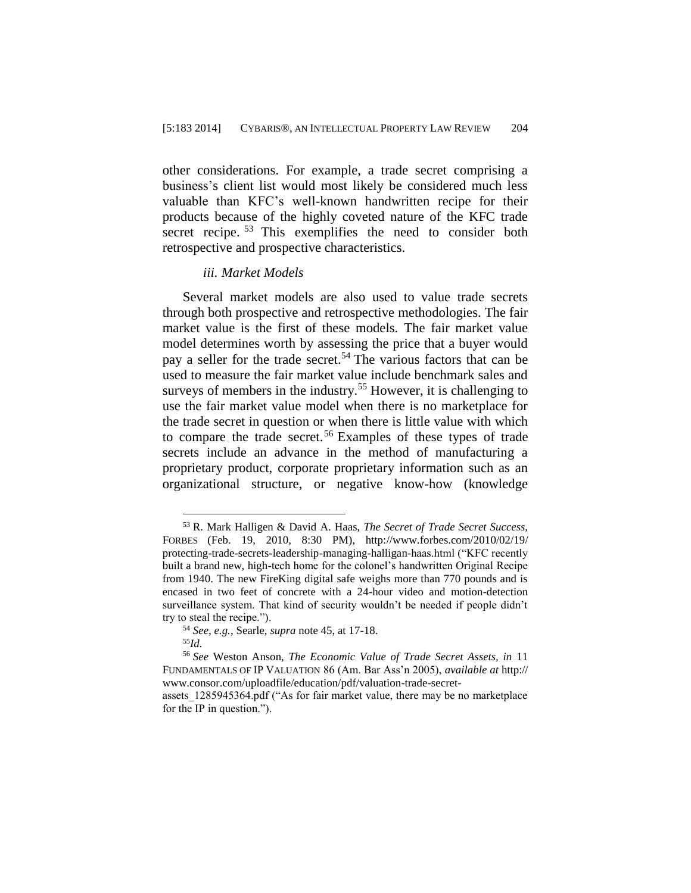other considerations. For example, a trade secret comprising a business's client list would most likely be considered much less valuable than KFC's well-known handwritten recipe for their products because of the highly coveted nature of the KFC trade secret recipe.<sup>53</sup> This exemplifies the need to consider both retrospective and prospective characteristics.

#### *iii. Market Models*

Several market models are also used to value trade secrets through both prospective and retrospective methodologies. The fair market value is the first of these models. The fair market value model determines worth by assessing the price that a buyer would pay a seller for the trade secret.<sup>54</sup> The various factors that can be used to measure the fair market value include benchmark sales and surveys of members in the industry.<sup>55</sup> However, it is challenging to use the fair market value model when there is no marketplace for the trade secret in question or when there is little value with which to compare the trade secret. <sup>56</sup> Examples of these types of trade secrets include an advance in the method of manufacturing a proprietary product, corporate proprietary information such as an organizational structure, or negative know-how (knowledge

<sup>53</sup> R. Mark Halligen & David A. Haas, *The Secret of Trade Secret Success,*  FORBES (Feb. 19, 2010, 8:30 PM), http://www.forbes.com/2010/02/19/ protecting-trade-secrets-leadership-managing-halligan-haas.html ("KFC recently built a brand new, high-tech home for the colonel's handwritten Original Recipe from 1940. The new FireKing digital safe weighs more than 770 pounds and is encased in two feet of concrete with a 24-hour video and motion-detection surveillance system. That kind of security wouldn't be needed if people didn't try to steal the recipe.").

<sup>54</sup> *See, e.g.*, Searle, *supra* note 45, at 17-18.

<sup>55</sup>*Id.*

<sup>56</sup> *See* Weston Anson, *The Economic Value of Trade Secret Assets, in* 11 FUNDAMENTALS OF IP VALUATION 86 (Am. Bar Ass'n 2005), *available at* http:// www.consor.com/uploadfile/education/pdf/valuation-trade-secret-

assets\_1285945364.pdf ("As for fair market value, there may be no marketplace for the IP in question.").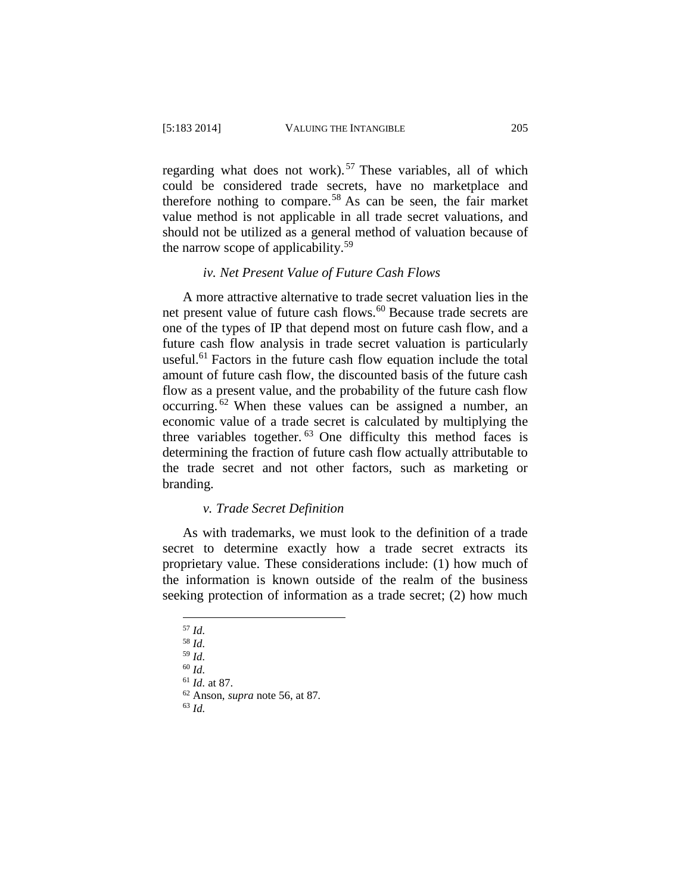regarding what does not work).<sup>57</sup> These variables, all of which could be considered trade secrets, have no marketplace and therefore nothing to compare. <sup>58</sup> As can be seen, the fair market value method is not applicable in all trade secret valuations, and should not be utilized as a general method of valuation because of the narrow scope of applicability.<sup>59</sup>

## *iv. Net Present Value of Future Cash Flows*

A more attractive alternative to trade secret valuation lies in the net present value of future cash flows.<sup>60</sup> Because trade secrets are one of the types of IP that depend most on future cash flow, and a future cash flow analysis in trade secret valuation is particularly useful.<sup>61</sup> Factors in the future cash flow equation include the total amount of future cash flow, the discounted basis of the future cash flow as a present value, and the probability of the future cash flow occurring. <sup>62</sup> When these values can be assigned a number, an economic value of a trade secret is calculated by multiplying the three variables together.  $63$  One difficulty this method faces is determining the fraction of future cash flow actually attributable to the trade secret and not other factors, such as marketing or branding.

#### *v. Trade Secret Definition*

As with trademarks, we must look to the definition of a trade secret to determine exactly how a trade secret extracts its proprietary value. These considerations include: (1) how much of the information is known outside of the realm of the business seeking protection of information as a trade secret; (2) how much

 $\overline{a}$ <sup>57</sup> *Id.*

<sup>58</sup> *Id.* 

<sup>59</sup> *Id.* 

<sup>60</sup> *Id.* 

<sup>61</sup> *Id.* at 87.

<sup>62</sup> Anson, *supra* note 56, at 87*.*

<sup>63</sup> *Id.*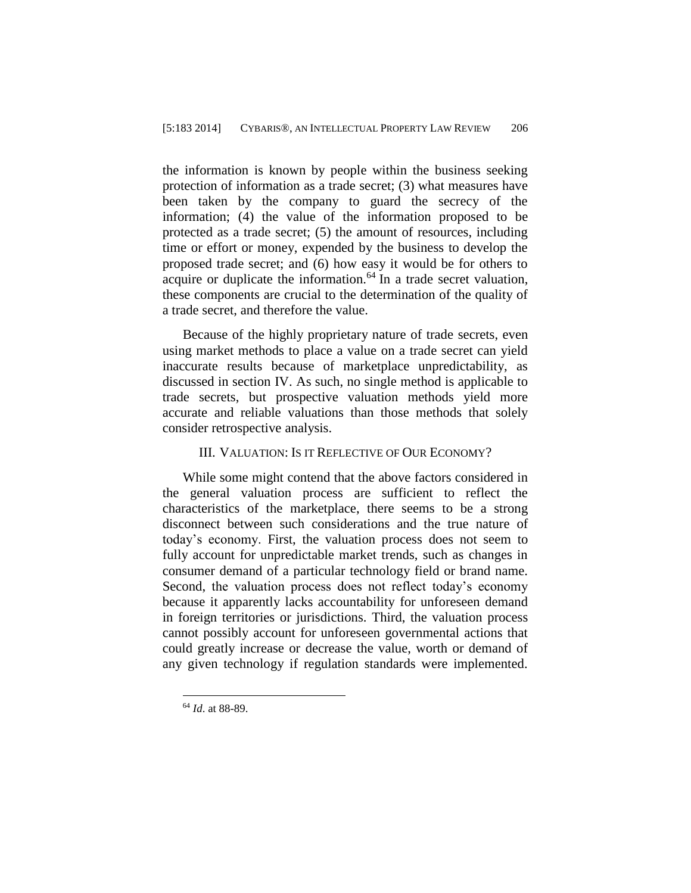the information is known by people within the business seeking protection of information as a trade secret; (3) what measures have been taken by the company to guard the secrecy of the information; (4) the value of the information proposed to be protected as a trade secret; (5) the amount of resources, including time or effort or money, expended by the business to develop the proposed trade secret; and (6) how easy it would be for others to acquire or duplicate the information. $64$  In a trade secret valuation, these components are crucial to the determination of the quality of a trade secret, and therefore the value.

Because of the highly proprietary nature of trade secrets, even using market methods to place a value on a trade secret can yield inaccurate results because of marketplace unpredictability, as discussed in section IV. As such, no single method is applicable to trade secrets, but prospective valuation methods yield more accurate and reliable valuations than those methods that solely consider retrospective analysis.

#### III. VALUATION: IS IT REFLECTIVE OF OUR ECONOMY?

While some might contend that the above factors considered in the general valuation process are sufficient to reflect the characteristics of the marketplace, there seems to be a strong disconnect between such considerations and the true nature of today's economy. First, the valuation process does not seem to fully account for unpredictable market trends, such as changes in consumer demand of a particular technology field or brand name. Second, the valuation process does not reflect today's economy because it apparently lacks accountability for unforeseen demand in foreign territories or jurisdictions. Third, the valuation process cannot possibly account for unforeseen governmental actions that could greatly increase or decrease the value, worth or demand of any given technology if regulation standards were implemented.

<sup>64</sup> *Id*. at 88-89.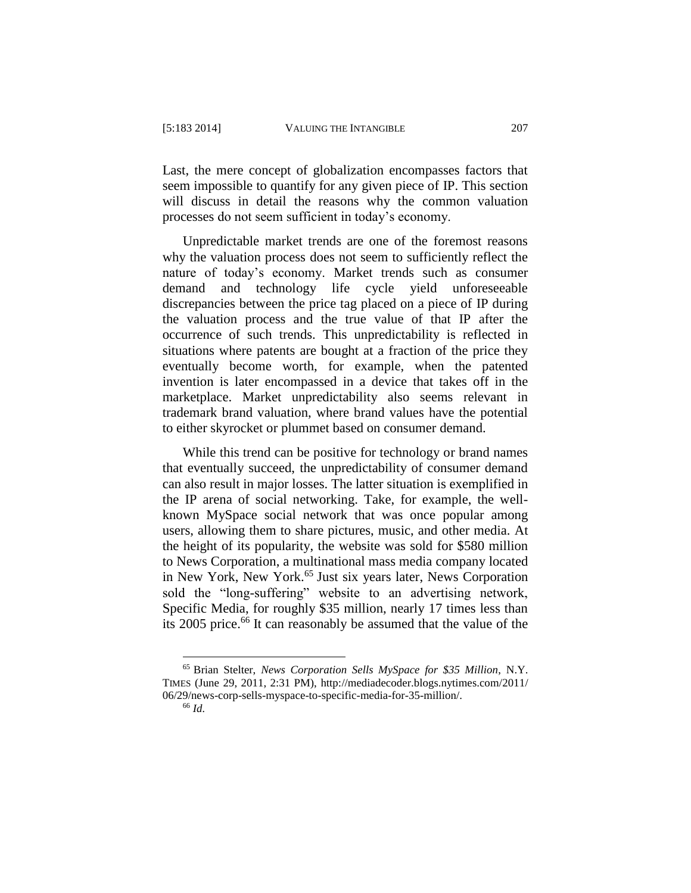Last, the mere concept of globalization encompasses factors that seem impossible to quantify for any given piece of IP. This section will discuss in detail the reasons why the common valuation processes do not seem sufficient in today's economy.

Unpredictable market trends are one of the foremost reasons why the valuation process does not seem to sufficiently reflect the nature of today's economy. Market trends such as consumer demand and technology life cycle yield unforeseeable discrepancies between the price tag placed on a piece of IP during the valuation process and the true value of that IP after the occurrence of such trends. This unpredictability is reflected in situations where patents are bought at a fraction of the price they eventually become worth, for example, when the patented invention is later encompassed in a device that takes off in the marketplace. Market unpredictability also seems relevant in trademark brand valuation, where brand values have the potential to either skyrocket or plummet based on consumer demand.

While this trend can be positive for technology or brand names that eventually succeed, the unpredictability of consumer demand can also result in major losses. The latter situation is exemplified in the IP arena of social networking. Take, for example, the wellknown MySpace social network that was once popular among users, allowing them to share pictures, music, and other media. At the height of its popularity, the website was sold for \$580 million to News Corporation, a multinational mass media company located in New York, New York.<sup>65</sup> Just six years later, News Corporation sold the "long-suffering" website to an advertising network, Specific Media, for roughly \$35 million, nearly 17 times less than its 2005 price. <sup>66</sup> It can reasonably be assumed that the value of the

<sup>65</sup> Brian Stelter, *News Corporation Sells MySpace for \$35 Million*, N.Y. TIMES (June 29, 2011, 2:31 PM), http://mediadecoder.blogs.nytimes.com/2011/ 06/29/news-corp-sells-myspace-to-specific-media-for-35-million/.

<sup>66</sup> *Id.*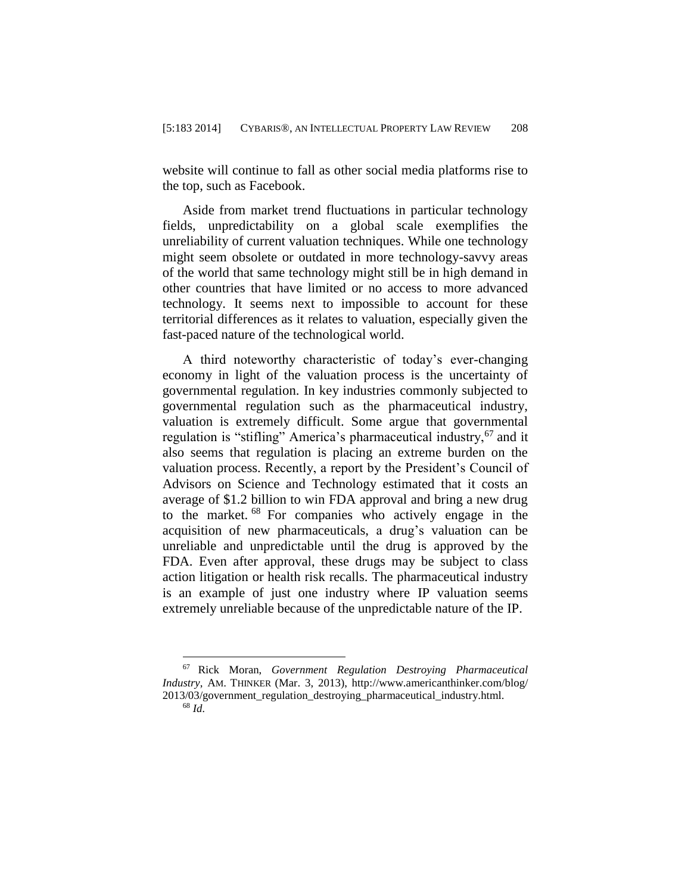website will continue to fall as other social media platforms rise to the top, such as Facebook.

Aside from market trend fluctuations in particular technology fields, unpredictability on a global scale exemplifies the unreliability of current valuation techniques. While one technology might seem obsolete or outdated in more technology-savvy areas of the world that same technology might still be in high demand in other countries that have limited or no access to more advanced technology. It seems next to impossible to account for these territorial differences as it relates to valuation, especially given the fast-paced nature of the technological world.

A third noteworthy characteristic of today's ever-changing economy in light of the valuation process is the uncertainty of governmental regulation. In key industries commonly subjected to governmental regulation such as the pharmaceutical industry, valuation is extremely difficult. Some argue that governmental regulation is "stifling" America's pharmaceutical industry,<sup>67</sup> and it also seems that regulation is placing an extreme burden on the valuation process. Recently, a report by the President's Council of Advisors on Science and Technology estimated that it costs an average of \$1.2 billion to win FDA approval and bring a new drug to the market. <sup>68</sup> For companies who actively engage in the acquisition of new pharmaceuticals, a drug's valuation can be unreliable and unpredictable until the drug is approved by the FDA. Even after approval, these drugs may be subject to class action litigation or health risk recalls. The pharmaceutical industry is an example of just one industry where IP valuation seems extremely unreliable because of the unpredictable nature of the IP.

<sup>67</sup> Rick Moran, *Government Regulation Destroying Pharmaceutical Industry*, AM. THINKER (Mar. 3, 2013), http://www.americanthinker.com/blog/ 2013/03/government\_regulation\_destroying\_pharmaceutical\_industry.html. <sup>68</sup> *Id.*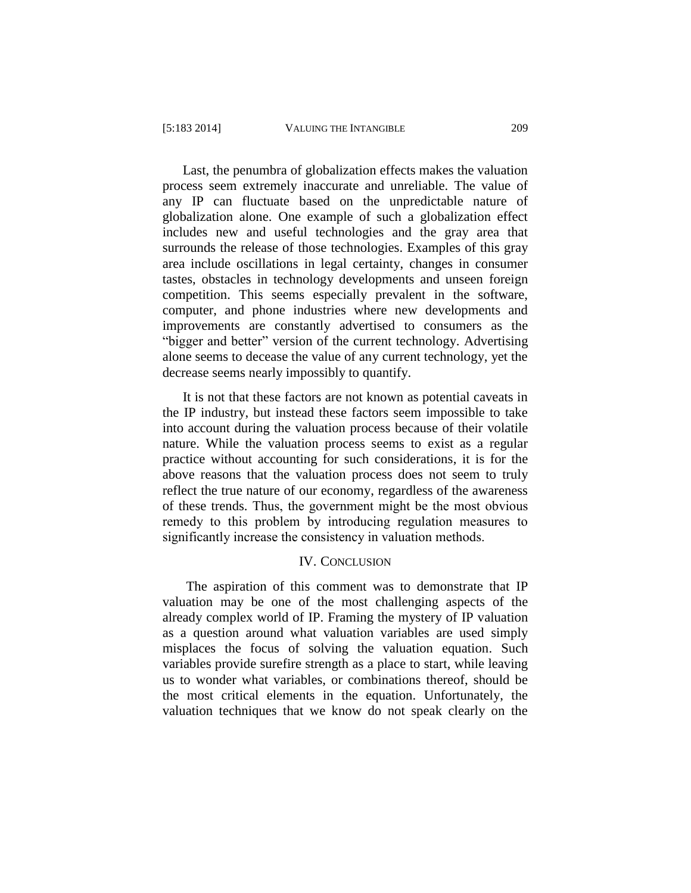Last, the penumbra of globalization effects makes the valuation process seem extremely inaccurate and unreliable. The value of any IP can fluctuate based on the unpredictable nature of globalization alone. One example of such a globalization effect includes new and useful technologies and the gray area that surrounds the release of those technologies. Examples of this gray area include oscillations in legal certainty, changes in consumer tastes, obstacles in technology developments and unseen foreign competition. This seems especially prevalent in the software, computer, and phone industries where new developments and improvements are constantly advertised to consumers as the "bigger and better" version of the current technology. Advertising alone seems to decease the value of any current technology, yet the decrease seems nearly impossibly to quantify.

It is not that these factors are not known as potential caveats in the IP industry, but instead these factors seem impossible to take into account during the valuation process because of their volatile nature. While the valuation process seems to exist as a regular practice without accounting for such considerations, it is for the above reasons that the valuation process does not seem to truly reflect the true nature of our economy, regardless of the awareness of these trends. Thus, the government might be the most obvious remedy to this problem by introducing regulation measures to significantly increase the consistency in valuation methods.

#### IV. CONCLUSION

The aspiration of this comment was to demonstrate that IP valuation may be one of the most challenging aspects of the already complex world of IP. Framing the mystery of IP valuation as a question around what valuation variables are used simply misplaces the focus of solving the valuation equation. Such variables provide surefire strength as a place to start, while leaving us to wonder what variables, or combinations thereof, should be the most critical elements in the equation. Unfortunately, the valuation techniques that we know do not speak clearly on the